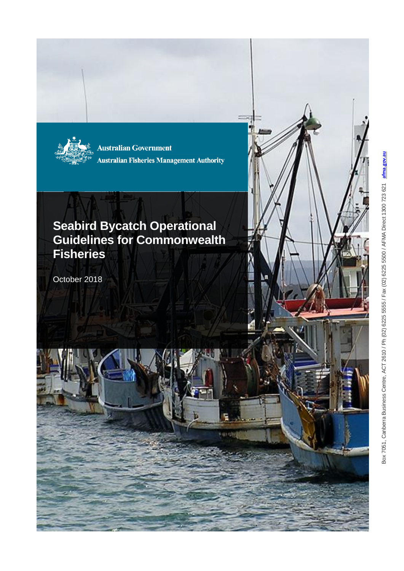

**Australian Government Australian Fisheries Management Authority** 

# **Seabird Bycatch Operational Guidelines for Commonwealth Fisheries**

October 2018

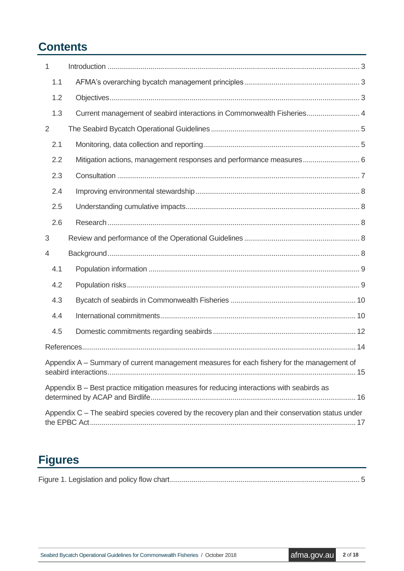# **Contents**

| 1   |                                                                                            |
|-----|--------------------------------------------------------------------------------------------|
| 1.1 |                                                                                            |
| 1.2 |                                                                                            |
| 1.3 | Current management of seabird interactions in Commonwealth Fisheries 4                     |
| 2   |                                                                                            |
| 2.1 |                                                                                            |
| 2.2 | Mitigation actions, management responses and performance measures 6                        |
| 2.3 |                                                                                            |
| 2.4 |                                                                                            |
| 2.5 |                                                                                            |
| 2.6 |                                                                                            |
| 3   |                                                                                            |
|     |                                                                                            |
| 4   |                                                                                            |
| 4.1 |                                                                                            |
| 4.2 |                                                                                            |
| 4.3 |                                                                                            |
| 4.4 |                                                                                            |
| 4.5 |                                                                                            |
|     |                                                                                            |
|     | Appendix A – Summary of current management measures for each fishery for the management of |
|     | Appendix B - Best practice mitigation measures for reducing interactions with seabirds as  |

# **Figures**

|--|--|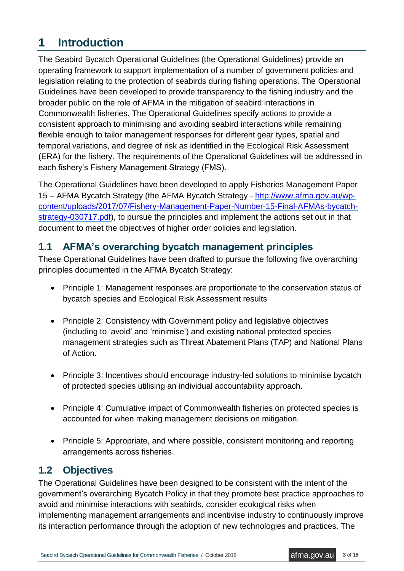# <span id="page-2-0"></span>**1 Introduction**

The Seabird Bycatch Operational Guidelines (the Operational Guidelines) provide an operating framework to support implementation of a number of government policies and legislation relating to the protection of seabirds during fishing operations. The Operational Guidelines have been developed to provide transparency to the fishing industry and the broader public on the role of AFMA in the mitigation of seabird interactions in Commonwealth fisheries. The Operational Guidelines specify actions to provide a consistent approach to minimising and avoiding seabird interactions while remaining flexible enough to tailor management responses for different gear types, spatial and temporal variations, and degree of risk as identified in the Ecological Risk Assessment (ERA) for the fishery. The requirements of the Operational Guidelines will be addressed in each fishery's Fishery Management Strategy (FMS).

The Operational Guidelines have been developed to apply Fisheries Management Paper 15 – AFMA Bycatch Strategy (the AFMA Bycatch Strategy - [http://www.afma.gov.au/wp](http://www.afma.gov.au/wp-content/uploads/2017/07/Fishery-Management-Paper-Number-15-Final-AFMAs-bycatch-strategy-030717.pdf)[content/uploads/2017/07/Fishery-Management-Paper-Number-15-Final-AFMAs-bycatch](http://www.afma.gov.au/wp-content/uploads/2017/07/Fishery-Management-Paper-Number-15-Final-AFMAs-bycatch-strategy-030717.pdf)[strategy-030717.pdf\)](http://www.afma.gov.au/wp-content/uploads/2017/07/Fishery-Management-Paper-Number-15-Final-AFMAs-bycatch-strategy-030717.pdf), to pursue the principles and implement the actions set out in that document to meet the objectives of higher order policies and legislation.

## <span id="page-2-1"></span>**1.1 AFMA's overarching bycatch management principles**

These Operational Guidelines have been drafted to pursue the following five overarching principles documented in the AFMA Bycatch Strategy:

- Principle 1: Management responses are proportionate to the conservation status of bycatch species and Ecological Risk Assessment results
- Principle 2: Consistency with Government policy and legislative objectives (including to 'avoid' and 'minimise') and existing national protected species management strategies such as Threat Abatement Plans (TAP) and National Plans of Action.
- Principle 3: Incentives should encourage industry-led solutions to minimise bycatch of protected species utilising an individual accountability approach.
- Principle 4: Cumulative impact of Commonwealth fisheries on protected species is accounted for when making management decisions on mitigation.
- Principle 5: Appropriate, and where possible, consistent monitoring and reporting arrangements across fisheries.

## <span id="page-2-2"></span>**1.2 Objectives**

The Operational Guidelines have been designed to be consistent with the intent of the government's overarching Bycatch Policy in that they promote best practice approaches to avoid and minimise interactions with seabirds, consider ecological risks when implementing management arrangements and incentivise industry to continuously improve its interaction performance through the adoption of new technologies and practices. The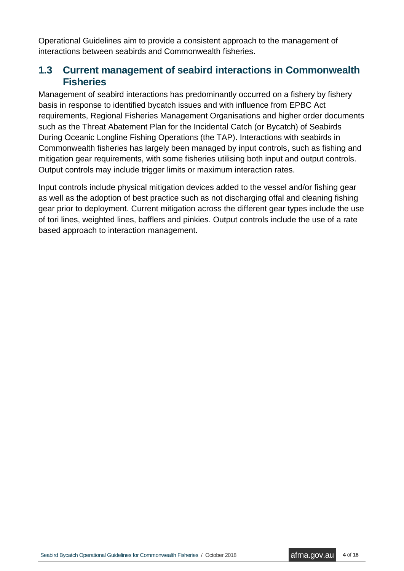Operational Guidelines aim to provide a consistent approach to the management of interactions between seabirds and Commonwealth fisheries.

## <span id="page-3-0"></span>**1.3 Current management of seabird interactions in Commonwealth Fisheries**

Management of seabird interactions has predominantly occurred on a fishery by fishery basis in response to identified bycatch issues and with influence from EPBC Act requirements, Regional Fisheries Management Organisations and higher order documents such as the Threat Abatement Plan for the Incidental Catch (or Bycatch) of Seabirds During Oceanic Longline Fishing Operations (the TAP). Interactions with seabirds in Commonwealth fisheries has largely been managed by input controls, such as fishing and mitigation gear requirements, with some fisheries utilising both input and output controls. Output controls may include trigger limits or maximum interaction rates.

Input controls include physical mitigation devices added to the vessel and/or fishing gear as well as the adoption of best practice such as not discharging offal and cleaning fishing gear prior to deployment. Current mitigation across the different gear types include the use of tori lines, weighted lines, bafflers and pinkies. Output controls include the use of a rate based approach to interaction management.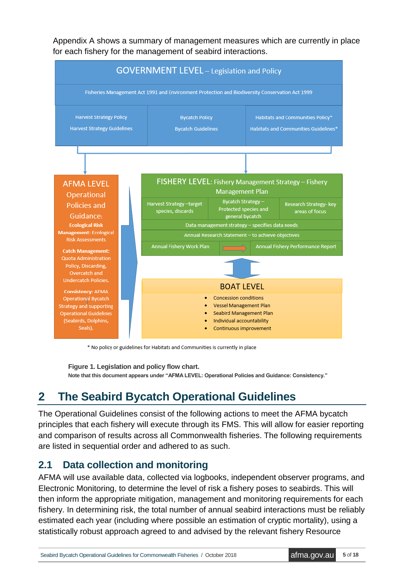Appendix A shows a summary of management measures which are currently in place for each fishery for the management of seabird interactions.



\* No policy or guidelines for Habitats and Communities is currently in place

**Figure 1. Legislation and policy flow chart.** 

**Note that this document appears under "AFMA LEVEL: Operational Policies and Guidance: Consistency."**

# <span id="page-4-0"></span>**2 The Seabird Bycatch Operational Guidelines**

The Operational Guidelines consist of the following actions to meet the AFMA bycatch principles that each fishery will execute through its FMS. This will allow for easier reporting and comparison of results across all Commonwealth fisheries. The following requirements are listed in sequential order and adhered to as such.

## <span id="page-4-1"></span>**2.1 Data collection and monitoring**

AFMA will use available data, collected via logbooks, independent observer programs, and Electronic Monitoring, to determine the level of risk a fishery poses to seabirds. This will then inform the appropriate mitigation, management and monitoring requirements for each fishery. In determining risk, the total number of annual seabird interactions must be reliably estimated each year (including where possible an estimation of cryptic mortality), using a statistically robust approach agreed to and advised by the relevant fishery Resource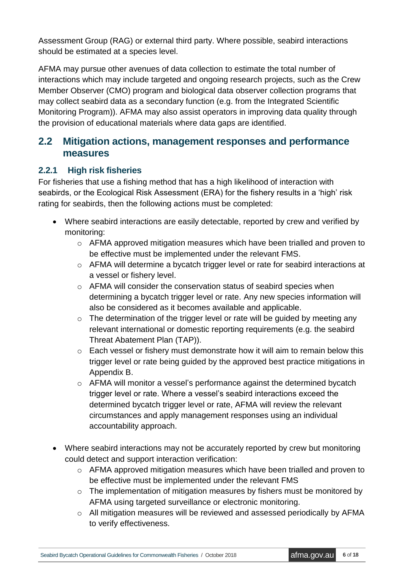Assessment Group (RAG) or external third party. Where possible, seabird interactions should be estimated at a species level.

AFMA may pursue other avenues of data collection to estimate the total number of interactions which may include targeted and ongoing research projects, such as the Crew Member Observer (CMO) program and biological data observer collection programs that may collect seabird data as a secondary function (e.g. from the Integrated Scientific Monitoring Program)). AFMA may also assist operators in improving data quality through the provision of educational materials where data gaps are identified.

## <span id="page-5-0"></span>**2.2 Mitigation actions, management responses and performance measures**

#### **2.2.1 High risk fisheries**

For fisheries that use a fishing method that has a high likelihood of interaction with seabirds, or the Ecological Risk Assessment (ERA) for the fishery results in a 'high' risk rating for seabirds, then the following actions must be completed:

- Where seabird interactions are easily detectable, reported by crew and verified by monitoring:
	- o AFMA approved mitigation measures which have been trialled and proven to be effective must be implemented under the relevant FMS.
	- o AFMA will determine a bycatch trigger level or rate for seabird interactions at a vessel or fishery level.
	- o AFMA will consider the conservation status of seabird species when determining a bycatch trigger level or rate. Any new species information will also be considered as it becomes available and applicable.
	- o The determination of the trigger level or rate will be guided by meeting any relevant international or domestic reporting requirements (e.g. the seabird Threat Abatement Plan (TAP)).
	- o Each vessel or fishery must demonstrate how it will aim to remain below this trigger level or rate being guided by the approved best practice mitigations in Appendix B.
	- o AFMA will monitor a vessel's performance against the determined bycatch trigger level or rate. Where a vessel's seabird interactions exceed the determined bycatch trigger level or rate, AFMA will review the relevant circumstances and apply management responses using an individual accountability approach.
- Where seabird interactions may not be accurately reported by crew but monitoring could detect and support interaction verification:
	- o AFMA approved mitigation measures which have been trialled and proven to be effective must be implemented under the relevant FMS
	- $\circ$  The implementation of mitigation measures by fishers must be monitored by AFMA using targeted surveillance or electronic monitoring.
	- o All mitigation measures will be reviewed and assessed periodically by AFMA to verify effectiveness.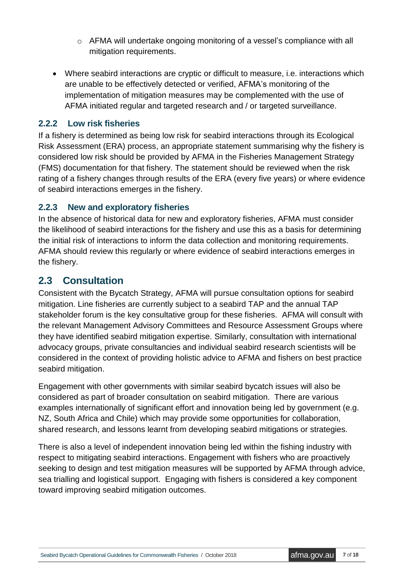- o AFMA will undertake ongoing monitoring of a vessel's compliance with all mitigation requirements.
- Where seabird interactions are cryptic or difficult to measure, i.e. interactions which are unable to be effectively detected or verified, AFMA's monitoring of the implementation of mitigation measures may be complemented with the use of AFMA initiated regular and targeted research and / or targeted surveillance.

#### **2.2.2 Low risk fisheries**

If a fishery is determined as being low risk for seabird interactions through its Ecological Risk Assessment (ERA) process, an appropriate statement summarising why the fishery is considered low risk should be provided by AFMA in the Fisheries Management Strategy (FMS) documentation for that fishery. The statement should be reviewed when the risk rating of a fishery changes through results of the ERA (every five years) or where evidence of seabird interactions emerges in the fishery.

#### **2.2.3 New and exploratory fisheries**

In the absence of historical data for new and exploratory fisheries, AFMA must consider the likelihood of seabird interactions for the fishery and use this as a basis for determining the initial risk of interactions to inform the data collection and monitoring requirements. AFMA should review this regularly or where evidence of seabird interactions emerges in the fishery.

### <span id="page-6-0"></span>**2.3 Consultation**

Consistent with the Bycatch Strategy, AFMA will pursue consultation options for seabird mitigation. Line fisheries are currently subject to a seabird TAP and the annual TAP stakeholder forum is the key consultative group for these fisheries. AFMA will consult with the relevant Management Advisory Committees and Resource Assessment Groups where they have identified seabird mitigation expertise. Similarly, consultation with international advocacy groups, private consultancies and individual seabird research scientists will be considered in the context of providing holistic advice to AFMA and fishers on best practice seabird mitigation.

Engagement with other governments with similar seabird bycatch issues will also be considered as part of broader consultation on seabird mitigation. There are various examples internationally of significant effort and innovation being led by government (e.g. NZ, South Africa and Chile) which may provide some opportunities for collaboration, shared research, and lessons learnt from developing seabird mitigations or strategies.

There is also a level of independent innovation being led within the fishing industry with respect to mitigating seabird interactions. Engagement with fishers who are proactively seeking to design and test mitigation measures will be supported by AFMA through advice, sea trialling and logistical support. Engaging with fishers is considered a key component toward improving seabird mitigation outcomes.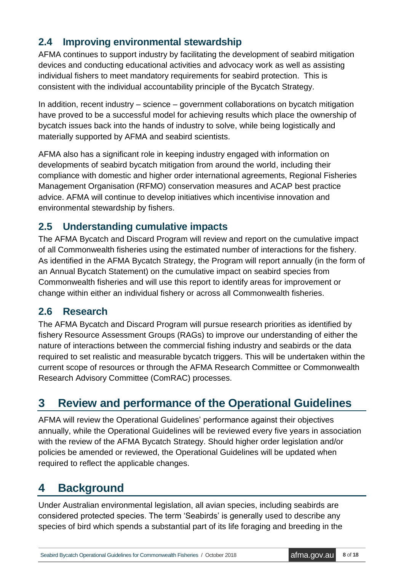## <span id="page-7-0"></span>**2.4 Improving environmental stewardship**

AFMA continues to support industry by facilitating the development of seabird mitigation devices and conducting educational activities and advocacy work as well as assisting individual fishers to meet mandatory requirements for seabird protection. This is consistent with the individual accountability principle of the Bycatch Strategy.

In addition, recent industry – science – government collaborations on bycatch mitigation have proved to be a successful model for achieving results which place the ownership of bycatch issues back into the hands of industry to solve, while being logistically and materially supported by AFMA and seabird scientists.

AFMA also has a significant role in keeping industry engaged with information on developments of seabird bycatch mitigation from around the world, including their compliance with domestic and higher order international agreements, Regional Fisheries Management Organisation (RFMO) conservation measures and ACAP best practice advice. AFMA will continue to develop initiatives which incentivise innovation and environmental stewardship by fishers.

## <span id="page-7-1"></span>**2.5 Understanding cumulative impacts**

The AFMA Bycatch and Discard Program will review and report on the cumulative impact of all Commonwealth fisheries using the estimated number of interactions for the fishery. As identified in the AFMA Bycatch Strategy, the Program will report annually (in the form of an Annual Bycatch Statement) on the cumulative impact on seabird species from Commonwealth fisheries and will use this report to identify areas for improvement or change within either an individual fishery or across all Commonwealth fisheries.

## <span id="page-7-2"></span>**2.6 Research**

The AFMA Bycatch and Discard Program will pursue research priorities as identified by fishery Resource Assessment Groups (RAGs) to improve our understanding of either the nature of interactions between the commercial fishing industry and seabirds or the data required to set realistic and measurable bycatch triggers. This will be undertaken within the current scope of resources or through the AFMA Research Committee or Commonwealth Research Advisory Committee (ComRAC) processes.

# <span id="page-7-3"></span>**3 Review and performance of the Operational Guidelines**

AFMA will review the Operational Guidelines' performance against their objectives annually, while the Operational Guidelines will be reviewed every five years in association with the review of the AFMA Bycatch Strategy. Should higher order legislation and/or policies be amended or reviewed, the Operational Guidelines will be updated when required to reflect the applicable changes.

# <span id="page-7-4"></span>**4 Background**

Under Australian environmental legislation, all avian species, including seabirds are considered protected species. The term 'Seabirds' is generally used to describe any species of bird which spends a substantial part of its life foraging and breeding in the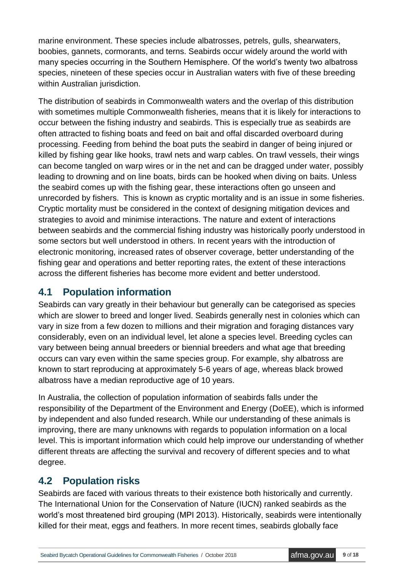marine environment. These species include albatrosses, petrels, gulls, shearwaters, boobies, gannets, cormorants, and terns. Seabirds occur widely around the world with many species occurring in the Southern Hemisphere. Of the world's twenty two albatross species, nineteen of these species occur in Australian waters with five of these breeding within Australian jurisdiction.

The distribution of seabirds in Commonwealth waters and the overlap of this distribution with sometimes multiple Commonwealth fisheries, means that it is likely for interactions to occur between the fishing industry and seabirds. This is especially true as seabirds are often attracted to fishing boats and feed on bait and offal discarded overboard during processing. Feeding from behind the boat puts the seabird in danger of being injured or killed by fishing gear like hooks, trawl nets and warp cables. On trawl vessels, their wings can become tangled on warp wires or in the net and can be dragged under water, possibly leading to drowning and on line boats, birds can be hooked when diving on baits. Unless the seabird comes up with the fishing gear, these interactions often go unseen and unrecorded by fishers. This is known as cryptic mortality and is an issue in some fisheries. Cryptic mortality must be considered in the context of designing mitigation devices and strategies to avoid and minimise interactions. The nature and extent of interactions between seabirds and the commercial fishing industry was historically poorly understood in some sectors but well understood in others. In recent years with the introduction of electronic monitoring, increased rates of observer coverage, better understanding of the fishing gear and operations and better reporting rates, the extent of these interactions across the different fisheries has become more evident and better understood.

## <span id="page-8-0"></span>**4.1 Population information**

Seabirds can vary greatly in their behaviour but generally can be categorised as species which are slower to breed and longer lived. Seabirds generally nest in colonies which can vary in size from a few dozen to millions and their migration and foraging distances vary considerably, even on an individual level, let alone a species level. Breeding cycles can vary between being annual breeders or biennial breeders and what age that breeding occurs can vary even within the same species group. For example, shy albatross are known to start reproducing at approximately 5-6 years of age, whereas black browed albatross have a median reproductive age of 10 years.

In Australia, the collection of population information of seabirds falls under the responsibility of the Department of the Environment and Energy (DoEE), which is informed by independent and also funded research. While our understanding of these animals is improving, there are many unknowns with regards to population information on a local level. This is important information which could help improve our understanding of whether different threats are affecting the survival and recovery of different species and to what degree.

## <span id="page-8-1"></span>**4.2 Population risks**

Seabirds are faced with various threats to their existence both historically and currently. The International Union for the Conservation of Nature (IUCN) ranked seabirds as the world's most threatened bird grouping (MPI 2013). Historically, seabirds were intentionally killed for their meat, eggs and feathers. In more recent times, seabirds globally face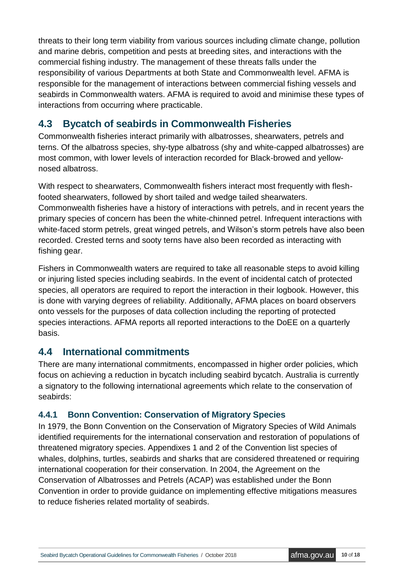threats to their long term viability from various sources including climate change, pollution and marine debris, competition and pests at breeding sites, and interactions with the commercial fishing industry. The management of these threats falls under the responsibility of various Departments at both State and Commonwealth level. AFMA is responsible for the management of interactions between commercial fishing vessels and seabirds in Commonwealth waters. AFMA is required to avoid and minimise these types of interactions from occurring where practicable.

## <span id="page-9-0"></span>**4.3 Bycatch of seabirds in Commonwealth Fisheries**

Commonwealth fisheries interact primarily with albatrosses, shearwaters, petrels and terns. Of the albatross species, shy-type albatross (shy and white-capped albatrosses) are most common, with lower levels of interaction recorded for Black-browed and yellownosed albatross.

With respect to shearwaters, Commonwealth fishers interact most frequently with fleshfooted shearwaters, followed by short tailed and wedge tailed shearwaters. Commonwealth fisheries have a history of interactions with petrels, and in recent years the primary species of concern has been the white-chinned petrel. Infrequent interactions with white-faced storm petrels, great winged petrels, and Wilson's storm petrels have also been recorded. Crested terns and sooty terns have also been recorded as interacting with fishing gear.

Fishers in Commonwealth waters are required to take all reasonable steps to avoid killing or injuring listed species including seabirds. In the event of incidental catch of protected species, all operators are required to report the interaction in their logbook. However, this is done with varying degrees of reliability. Additionally, AFMA places on board observers onto vessels for the purposes of data collection including the reporting of protected species interactions. AFMA reports all reported interactions to the DoEE on a quarterly basis.

## <span id="page-9-1"></span>**4.4 International commitments**

There are many international commitments, encompassed in higher order policies, which focus on achieving a reduction in bycatch including seabird bycatch. Australia is currently a signatory to the following international agreements which relate to the conservation of seabirds:

### **4.4.1 Bonn Convention: Conservation of Migratory Species**

In 1979, the Bonn Convention on the Conservation of Migratory Species of Wild Animals identified requirements for the international conservation and restoration of populations of threatened migratory species. Appendixes 1 and 2 of the Convention list species of whales, dolphins, turtles, seabirds and sharks that are considered threatened or requiring international cooperation for their conservation. In 2004, the Agreement on the Conservation of Albatrosses and Petrels (ACAP) was established under the Bonn Convention in order to provide guidance on implementing effective mitigations measures to reduce fisheries related mortality of seabirds.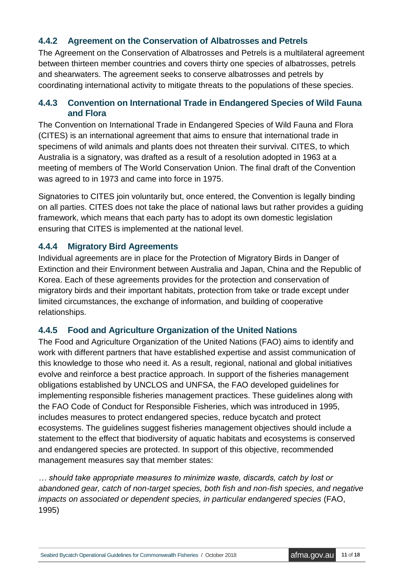### **4.4.2 Agreement on the Conservation of Albatrosses and Petrels**

The Agreement on the Conservation of Albatrosses and Petrels is a multilateral agreement between thirteen member countries and covers thirty one species of albatrosses, petrels and shearwaters. The agreement seeks to conserve albatrosses and petrels by coordinating international activity to mitigate threats to the populations of these species.

### **4.4.3 Convention on International Trade in Endangered Species of Wild Fauna and Flora**

The Convention on International Trade in Endangered Species of Wild Fauna and Flora (CITES) is an international agreement that aims to ensure that international trade in specimens of wild animals and plants does not threaten their survival. CITES, to which Australia is a signatory, was drafted as a result of a resolution adopted in 1963 at a meeting of members of The World Conservation Union. The final draft of the Convention was agreed to in 1973 and came into force in 1975.

Signatories to CITES join voluntarily but, once entered, the Convention is legally binding on all parties. CITES does not take the place of national laws but rather provides a guiding framework, which means that each party has to adopt its own domestic legislation ensuring that CITES is implemented at the national level.

### **4.4.4 Migratory Bird Agreements**

Individual agreements are in place for the Protection of Migratory Birds in Danger of Extinction and their Environment between Australia and Japan, China and the Republic of Korea. Each of these agreements provides for the protection and conservation of migratory birds and their important habitats, protection from take or trade except under limited circumstances, the exchange of information, and building of cooperative relationships.

### **4.4.5 Food and Agriculture Organization of the United Nations**

The Food and Agriculture Organization of the United Nations (FAO) aims to identify and work with different partners that have established expertise and assist communication of this knowledge to those who need it. As a result, regional, national and global initiatives evolve and reinforce a best practice approach. In support of the fisheries management obligations established by UNCLOS and UNFSA, the FAO developed guidelines for implementing responsible fisheries management practices. These guidelines along with the FAO Code of Conduct for Responsible Fisheries, which was introduced in 1995, includes measures to protect endangered species, reduce bycatch and protect ecosystems. The guidelines suggest fisheries management objectives should include a statement to the effect that biodiversity of aquatic habitats and ecosystems is conserved and endangered species are protected. In support of this objective, recommended management measures say that member states:

*… should take appropriate measures to minimize waste, discards, catch by lost or abandoned gear, catch of non-target species, both fish and non-fish species, and negative impacts on associated or dependent species, in particular endangered species* (FAO, 1995)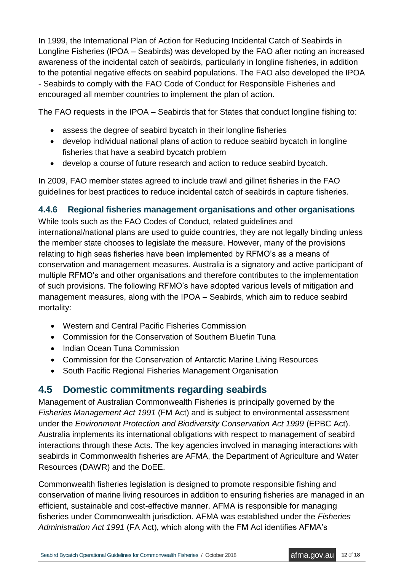In 1999, the International Plan of Action for Reducing Incidental Catch of Seabirds in Longline Fisheries (IPOA – Seabirds) was developed by the FAO after noting an increased awareness of the incidental catch of seabirds, particularly in longline fisheries, in addition to the potential negative effects on seabird populations. The FAO also developed the IPOA - Seabirds to comply with the FAO Code of Conduct for Responsible Fisheries and encouraged all member countries to implement the plan of action.

The FAO requests in the IPOA – Seabirds that for States that conduct longline fishing to:

- assess the degree of seabird bycatch in their longline fisheries
- develop individual national plans of action to reduce seabird bycatch in longline fisheries that have a seabird bycatch problem
- develop a course of future research and action to reduce seabird bycatch.

In 2009, FAO member states agreed to include trawl and gillnet fisheries in the FAO guidelines for best practices to reduce incidental catch of seabirds in capture fisheries.

### **4.4.6 Regional fisheries management organisations and other organisations**

While tools such as the FAO Codes of Conduct, related guidelines and international/national plans are used to guide countries, they are not legally binding unless the member state chooses to legislate the measure. However, many of the provisions relating to high seas fisheries have been implemented by RFMO's as a means of conservation and management measures. Australia is a signatory and active participant of multiple RFMO's and other organisations and therefore contributes to the implementation of such provisions. The following RFMO's have adopted various levels of mitigation and management measures, along with the IPOA – Seabirds, which aim to reduce seabird mortality:

- Western and Central Pacific Fisheries Commission
- Commission for the Conservation of Southern Bluefin Tuna
- Indian Ocean Tuna Commission
- Commission for the Conservation of Antarctic Marine Living Resources
- South Pacific Regional Fisheries Management Organisation

## <span id="page-11-0"></span>**4.5 Domestic commitments regarding seabirds**

Management of Australian Commonwealth Fisheries is principally governed by the *Fisheries Management Act 1991* (FM Act) and is subject to environmental assessment under the *Environment Protection and Biodiversity Conservation Act 1999* (EPBC Act). Australia implements its international obligations with respect to management of seabird interactions through these Acts. The key agencies involved in managing interactions with seabirds in Commonwealth fisheries are AFMA, the Department of Agriculture and Water Resources (DAWR) and the DoEE.

Commonwealth fisheries legislation is designed to promote responsible fishing and conservation of marine living resources in addition to ensuring fisheries are managed in an efficient, sustainable and cost-effective manner. AFMA is responsible for managing fisheries under Commonwealth jurisdiction. AFMA was established under the *Fisheries Administration Act 1991* (FA Act), which along with the FM Act identifies AFMA's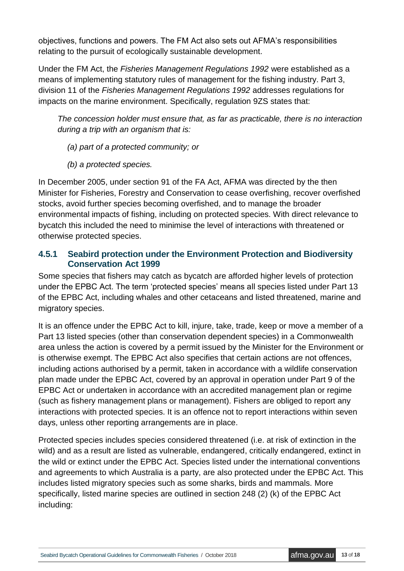objectives, functions and powers. The FM Act also sets out AFMA's responsibilities relating to the pursuit of ecologically sustainable development.

Under the FM Act, the *Fisheries Management Regulations 1992* were established as a means of implementing statutory rules of management for the fishing industry. Part 3, division 11 of the *Fisheries Management Regulations 1992* addresses regulations for impacts on the marine environment. Specifically, regulation 9ZS states that:

*The concession holder must ensure that, as far as practicable, there is no interaction during a trip with an organism that is:*

*(a) part of a protected community; or*

*(b) a protected species.*

In December 2005, under section 91 of the FA Act, AFMA was directed by the then Minister for Fisheries, Forestry and Conservation to cease overfishing, recover overfished stocks, avoid further species becoming overfished, and to manage the broader environmental impacts of fishing, including on protected species. With direct relevance to bycatch this included the need to minimise the level of interactions with threatened or otherwise protected species.

#### **4.5.1 Seabird protection under the Environment Protection and Biodiversity Conservation Act 1999**

Some species that fishers may catch as bycatch are afforded higher levels of protection under the EPBC Act. The term 'protected species' means all species listed under Part 13 of the EPBC Act, including whales and other cetaceans and listed threatened, marine and migratory species.

It is an offence under the EPBC Act to kill, injure, take, trade, keep or move a member of a Part 13 listed species (other than conservation dependent species) in a Commonwealth area unless the action is covered by a permit issued by the Minister for the Environment or is otherwise exempt. The EPBC Act also specifies that certain actions are not offences, including actions authorised by a permit, taken in accordance with a wildlife conservation plan made under the EPBC Act, covered by an approval in operation under Part 9 of the EPBC Act or undertaken in accordance with an accredited management plan or regime (such as fishery management plans or management). Fishers are obliged to report any interactions with protected species. It is an offence not to report interactions within seven days, unless other reporting arrangements are in place.

Protected species includes species considered threatened (i.e. at risk of extinction in the wild) and as a result are listed as vulnerable, endangered, critically endangered, extinct in the wild or extinct under the EPBC Act. Species listed under the international conventions and agreements to which Australia is a party, are also protected under the EPBC Act. This includes listed migratory species such as some sharks, birds and mammals. More specifically, listed marine species are outlined in section 248 (2) (k) of the EPBC Act including: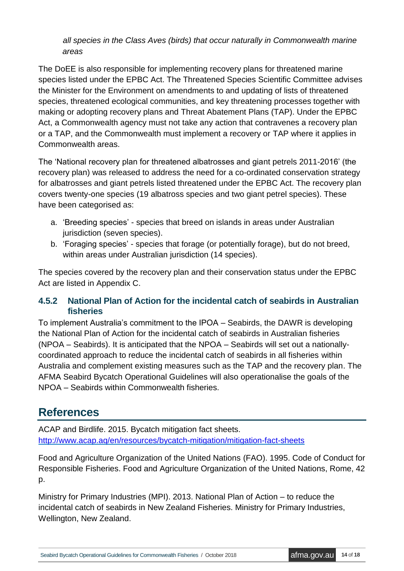*all species in the Class Aves (birds) that occur naturally in Commonwealth marine areas*

The DoEE is also responsible for implementing recovery plans for threatened marine species listed under the EPBC Act. The Threatened Species Scientific Committee advises the Minister for the Environment on amendments to and updating of lists of threatened species, threatened ecological communities, and key threatening processes together with making or adopting recovery plans and Threat Abatement Plans (TAP). Under the EPBC Act, a Commonwealth agency must not take any action that contravenes a recovery plan or a TAP, and the Commonwealth must implement a recovery or TAP where it applies in Commonwealth areas.

The 'National recovery plan for threatened albatrosses and giant petrels 2011-2016' (the recovery plan) was released to address the need for a co-ordinated conservation strategy for albatrosses and giant petrels listed threatened under the EPBC Act. The recovery plan covers twenty-one species (19 albatross species and two giant petrel species). These have been categorised as:

- a. 'Breeding species' species that breed on islands in areas under Australian jurisdiction (seven species).
- b. 'Foraging species' species that forage (or potentially forage), but do not breed, within areas under Australian jurisdiction (14 species).

The species covered by the recovery plan and their conservation status under the EPBC Act are listed in Appendix C.

### **4.5.2 National Plan of Action for the incidental catch of seabirds in Australian fisheries**

To implement Australia's commitment to the IPOA – Seabirds, the DAWR is developing the National Plan of Action for the incidental catch of seabirds in Australian fisheries (NPOA – Seabirds). It is anticipated that the NPOA – Seabirds will set out a nationallycoordinated approach to reduce the incidental catch of seabirds in all fisheries within Australia and complement existing measures such as the TAP and the recovery plan. The AFMA Seabird Bycatch Operational Guidelines will also operationalise the goals of the NPOA – Seabirds within Commonwealth fisheries.

# <span id="page-13-0"></span>**References**

ACAP and Birdlife. 2015. Bycatch mitigation fact sheets. <http://www.acap.aq/en/resources/bycatch-mitigation/mitigation-fact-sheets>

Food and Agriculture Organization of the United Nations (FAO). 1995. Code of Conduct for Responsible Fisheries. Food and Agriculture Organization of the United Nations, Rome, 42 p.

Ministry for Primary Industries (MPI). 2013. National Plan of Action – to reduce the incidental catch of seabirds in New Zealand Fisheries. Ministry for Primary Industries, Wellington, New Zealand.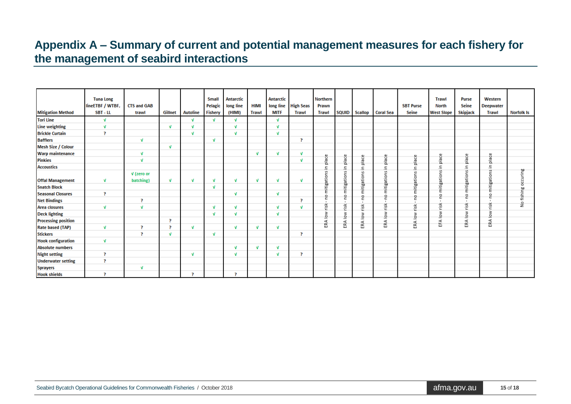## **Appendix A – Summary of current and potential management measures for each fishery for the management of seabird interactions**

<span id="page-14-0"></span>

| <b>Mitigation Method</b>   | <b>Tuna Long</b><br>lineETBF / WTBF,<br>SBT - LL | <b>CTS and GAB</b><br>trawl | Gillnet      | <b>Autoline</b> | <b>Small</b><br>Pelagic<br><b>Fishery</b> | <b>Antarctic</b><br>long line<br>(HIMI) | <b>HIMI</b><br><b>Trawl</b> | <b>Antarctic</b><br><b>MITF</b> | long line High Seas<br><b>Trawl</b> | <b>Northern</b><br>Prawn<br><b>Trawl</b> |                | SQUID Scallop | <b>Coral Sea</b> | <b>SBT Purse</b><br><b>Seine</b> | <b>Trawl</b><br><b>North</b><br><b>West Slope</b> | <b>Purse</b><br><b>Seine</b><br><b>Skipjack</b> | Western<br><b>Deepwater</b><br><b>Trawl</b> | <b>Norfolk Is</b>          |
|----------------------------|--------------------------------------------------|-----------------------------|--------------|-----------------|-------------------------------------------|-----------------------------------------|-----------------------------|---------------------------------|-------------------------------------|------------------------------------------|----------------|---------------|------------------|----------------------------------|---------------------------------------------------|-------------------------------------------------|---------------------------------------------|----------------------------|
| Tori Line                  | v                                                |                             |              | ν               | v                                         | v                                       |                             | v                               |                                     |                                          |                |               |                  |                                  |                                                   |                                                 |                                             |                            |
| Line weighting             | $\mathbf{v}$                                     |                             | $\mathbf{v}$ |                 |                                           | v                                       |                             | v                               |                                     |                                          |                |               |                  |                                  |                                                   |                                                 |                                             |                            |
| <b>Brickle Curtain</b>     | P,                                               |                             |              | $\mathbf{d}$    |                                           | v                                       |                             | V                               |                                     |                                          |                |               |                  |                                  |                                                   |                                                 |                                             |                            |
| <b>Bafflers</b>            |                                                  | V                           |              |                 | ν                                         |                                         |                             |                                 | P                                   |                                          |                |               |                  |                                  |                                                   |                                                 |                                             |                            |
| <b>Mesh Size / Colour</b>  |                                                  |                             | V            |                 |                                           |                                         |                             |                                 |                                     |                                          |                |               |                  |                                  |                                                   |                                                 |                                             |                            |
| <b>Warp maintenance</b>    |                                                  | V                           |              |                 |                                           |                                         | v                           | v                               | $\mathbf{v}$                        |                                          |                |               |                  |                                  |                                                   |                                                 |                                             |                            |
| <b>Pinkies</b>             |                                                  | v                           |              |                 |                                           |                                         |                             |                                 | $\mathbf{d}$                        | place                                    | place          | place         | place            | place                            | place                                             | place                                           | place                                       |                            |
| <b>Accoustics</b>          |                                                  |                             |              |                 |                                           |                                         |                             |                                 |                                     | 으.                                       |                | Ξ.            | 르.               | c                                | <u>ء</u>                                          | Ξ                                               | Ξ.                                          |                            |
|                            |                                                  | V (zero or                  |              |                 |                                           |                                         |                             |                                 |                                     |                                          |                |               |                  |                                  |                                                   |                                                 |                                             |                            |
| <b>Offal Management</b>    | V                                                | batching)                   | v            | v               | ν                                         | v                                       | V                           | v                               | v                                   |                                          |                |               |                  |                                  |                                                   |                                                 |                                             |                            |
| <b>Snatch Block</b>        |                                                  |                             |              |                 | $\mathbf{v}$                              |                                         |                             |                                 |                                     | mitigations                              | mitigations in | mitigations   | mitigations      | itigations                       | mitigations                                       | mitigations                                     | mitigations                                 | fishing occuring           |
| <b>Seasonal Closures</b>   | P                                                |                             |              |                 |                                           | v                                       |                             | $\mathbf{v}$                    |                                     | g                                        |                | ۰             | ę                | ε<br>$\Omega$                    | $\circ$                                           | 읃                                               | $\circ$<br>∊                                |                            |
| <b>Net Bindings</b>        |                                                  | ₹.                          |              |                 |                                           |                                         |                             |                                 | P.                                  |                                          | er.            | c             | $\mathbf{r}$     |                                  |                                                   | $\alpha$                                        | $\mathbf{r}$                                | $\stackrel{\mathtt{o}}{z}$ |
| Area closures              | V                                                | V                           |              |                 | ν                                         | v                                       |                             | v                               | $\mathbf{v}$                        | risk                                     | ERA low risk   | risk          | risk             | risk                             | risk                                              | risk                                            | risk                                        |                            |
| <b>Deck lighting</b>       |                                                  |                             |              |                 | ν                                         | v                                       |                             | $\mathbf{V}$                    |                                     | $\frac{8}{10}$                           |                | $rac{8}{6}$   | low              | ₹                                | ₹<br>으                                            | low                                             | low                                         |                            |
| <b>Processing position</b> |                                                  |                             | P            |                 |                                           |                                         |                             |                                 |                                     | 4                                        |                | ERA           | ERA              | ₫<br>ERA                         | ⋖<br>۳                                            | ERA                                             | ERA                                         |                            |
| <b>Rate based (TAP)</b>    | V                                                | P.                          | P.           | $\mathbf{v}$    |                                           | v                                       | v                           | v                               |                                     | 뜨                                        |                |               |                  |                                  |                                                   |                                                 |                                             |                            |
| <b>Stickers</b>            |                                                  | P.                          | V            |                 | ν                                         |                                         |                             |                                 | P.                                  |                                          |                |               |                  |                                  |                                                   |                                                 |                                             |                            |
| <b>Hook configuration</b>  | $\mathbf{V}$                                     |                             |              |                 |                                           |                                         |                             |                                 |                                     |                                          |                |               |                  |                                  |                                                   |                                                 |                                             |                            |
| <b>Absolute numbers</b>    |                                                  |                             |              |                 |                                           | v                                       | v                           | ν                               |                                     |                                          |                |               |                  |                                  |                                                   |                                                 |                                             |                            |
| <b>Night setting</b>       | R                                                |                             |              | <b>M</b>        |                                           | v                                       |                             | $\mathbf{v}$                    | P.                                  |                                          |                |               |                  |                                  |                                                   |                                                 |                                             |                            |
| <b>Underwater setting</b>  | P                                                |                             |              |                 |                                           |                                         |                             |                                 |                                     |                                          |                |               |                  |                                  |                                                   |                                                 |                                             |                            |
| <b>Sprayers</b>            |                                                  | V                           |              |                 |                                           |                                         |                             |                                 |                                     |                                          |                |               |                  |                                  |                                                   |                                                 |                                             |                            |
| <b>Hook shields</b>        | P.                                               |                             |              | P.              |                                           | P.                                      |                             |                                 |                                     |                                          |                |               |                  |                                  |                                                   |                                                 |                                             |                            |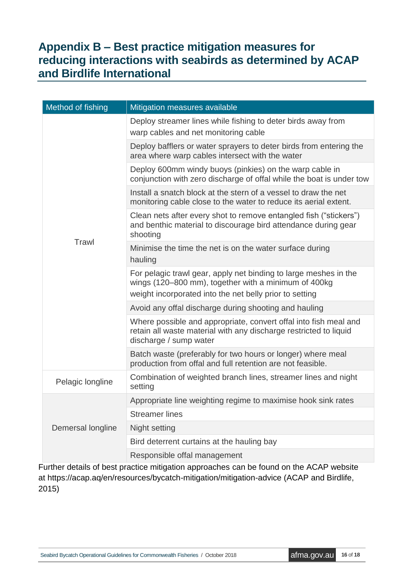# <span id="page-15-0"></span>**Appendix B – Best practice mitigation measures for reducing interactions with seabirds as determined by ACAP and Birdlife International**

| Method of fishing | Mitigation measures available                                                                                                                                                       |  |  |  |  |  |  |  |
|-------------------|-------------------------------------------------------------------------------------------------------------------------------------------------------------------------------------|--|--|--|--|--|--|--|
|                   | Deploy streamer lines while fishing to deter birds away from<br>warp cables and net monitoring cable                                                                                |  |  |  |  |  |  |  |
|                   | Deploy bafflers or water sprayers to deter birds from entering the<br>area where warp cables intersect with the water                                                               |  |  |  |  |  |  |  |
|                   | Deploy 600mm windy buoys (pinkies) on the warp cable in<br>conjunction with zero discharge of offal while the boat is under tow                                                     |  |  |  |  |  |  |  |
|                   | Install a snatch block at the stern of a vessel to draw the net<br>monitoring cable close to the water to reduce its aerial extent.                                                 |  |  |  |  |  |  |  |
|                   | Clean nets after every shot to remove entangled fish ("stickers")<br>and benthic material to discourage bird attendance during gear<br>shooting                                     |  |  |  |  |  |  |  |
| Trawl             | Minimise the time the net is on the water surface during<br>hauling                                                                                                                 |  |  |  |  |  |  |  |
|                   | For pelagic trawl gear, apply net binding to large meshes in the<br>wings (120–800 mm), together with a minimum of 400kg<br>weight incorporated into the net belly prior to setting |  |  |  |  |  |  |  |
|                   | Avoid any offal discharge during shooting and hauling                                                                                                                               |  |  |  |  |  |  |  |
|                   | Where possible and appropriate, convert offal into fish meal and<br>retain all waste material with any discharge restricted to liquid<br>discharge / sump water                     |  |  |  |  |  |  |  |
|                   | Batch waste (preferably for two hours or longer) where meal<br>production from offal and full retention are not feasible.                                                           |  |  |  |  |  |  |  |
| Pelagic longline  | Combination of weighted branch lines, streamer lines and night<br>setting                                                                                                           |  |  |  |  |  |  |  |
|                   | Appropriate line weighting regime to maximise hook sink rates                                                                                                                       |  |  |  |  |  |  |  |
|                   | <b>Streamer lines</b>                                                                                                                                                               |  |  |  |  |  |  |  |
| Demersal longline | Night setting                                                                                                                                                                       |  |  |  |  |  |  |  |
|                   | Bird deterrent curtains at the hauling bay                                                                                                                                          |  |  |  |  |  |  |  |
|                   | Responsible offal management                                                                                                                                                        |  |  |  |  |  |  |  |

Further details of best practice mitigation approaches can be found on the ACAP website at https://acap.aq/en/resources/bycatch-mitigation/mitigation-advice (ACAP and Birdlife, 2015)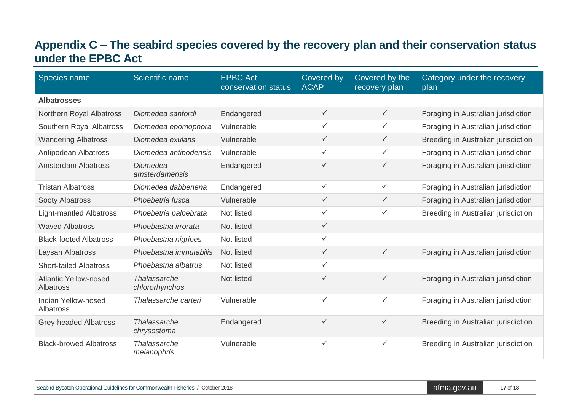# **Appendix C – The seabird species covered by the recovery plan and their conservation status under the EPBC Act**

<span id="page-16-0"></span>

| Species name                                     | Scientific name                   | <b>EPBC Act</b><br>conservation status | Covered by<br><b>ACAP</b> | Covered by the<br>recovery plan | Category under the recovery<br>plan |
|--------------------------------------------------|-----------------------------------|----------------------------------------|---------------------------|---------------------------------|-------------------------------------|
| <b>Albatrosses</b>                               |                                   |                                        |                           |                                 |                                     |
| Northern Royal Albatross                         | Diomedea sanfordi                 | Endangered                             | $\checkmark$              | $\checkmark$                    | Foraging in Australian jurisdiction |
| Southern Royal Albatross                         | Diomedea epomophora               | Vulnerable                             | $\checkmark$              | ✓                               | Foraging in Australian jurisdiction |
| <b>Wandering Albatross</b>                       | Diomedea exulans                  | Vulnerable                             | $\checkmark$              | $\checkmark$                    | Breeding in Australian jurisdiction |
| Antipodean Albatross                             | Diomedea antipodensis             | Vulnerable                             | $\checkmark$              | ✓                               | Foraging in Australian jurisdiction |
| <b>Amsterdam Albatross</b>                       | <b>Diomedea</b><br>amsterdamensis | Endangered                             | $\checkmark$              | $\checkmark$                    | Foraging in Australian jurisdiction |
| <b>Tristan Albatross</b>                         | Diomedea dabbenena                | Endangered                             | $\checkmark$              | ✓                               | Foraging in Australian jurisdiction |
| <b>Sooty Albatross</b>                           | Phoebetria fusca                  | Vulnerable                             | $\checkmark$              | $\checkmark$                    | Foraging in Australian jurisdiction |
| <b>Light-mantled Albatross</b>                   | Phoebetria palpebrata             | Not listed                             | ✓                         | $\checkmark$                    | Breeding in Australian jurisdiction |
| <b>Waved Albatross</b>                           | Phoebastria irrorata              | Not listed                             | $\checkmark$              |                                 |                                     |
| <b>Black-footed Albatross</b>                    | Phoebastria nigripes              | Not listed                             | $\checkmark$              |                                 |                                     |
| Laysan Albatross                                 | Phoebastria immutabilis           | Not listed                             | $\checkmark$              | $\checkmark$                    | Foraging in Australian jurisdiction |
| <b>Short-tailed Albatross</b>                    | Phoebastria albatrus              | Not listed                             | $\checkmark$              |                                 |                                     |
| <b>Atlantic Yellow-nosed</b><br><b>Albatross</b> | Thalassarche<br>chlororhynchos    | Not listed                             | $\checkmark$              | $\checkmark$                    | Foraging in Australian jurisdiction |
| Indian Yellow-nosed<br>Albatross                 | Thalassarche carteri              | Vulnerable                             | $\checkmark$              | ✓                               | Foraging in Australian jurisdiction |
| <b>Grey-headed Albatross</b>                     | Thalassarche<br>chrysostoma       | Endangered                             | $\checkmark$              | ✓                               | Breeding in Australian jurisdiction |
| <b>Black-browed Albatross</b>                    | Thalassarche<br>melanophris       | Vulnerable                             | $\checkmark$              | ✓                               | Breeding in Australian jurisdiction |